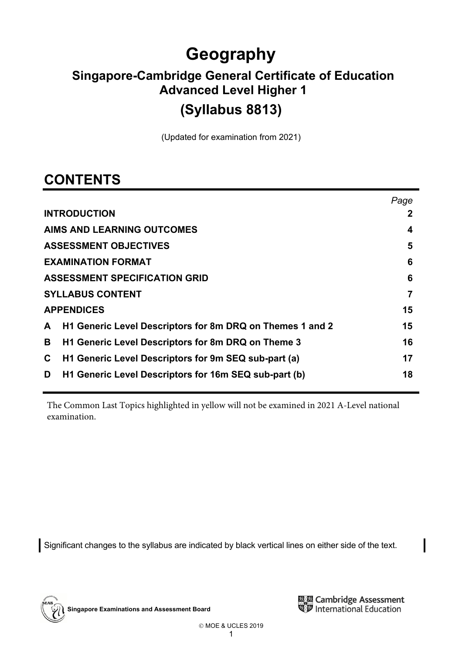# **Geography**

# **Singapore-Cambridge General Certificate of Education Advanced Level Higher 1 (Syllabus 8813)**

(Updated for examination from 2021)

# **CONTENTS**

| Page |
|------|
|      |
| 4    |
| 5    |
| 6    |
| 6    |
|      |
| 15   |
| 15   |
| 16   |
| 17   |
| 18   |
|      |

The Common Last Topics highlighted in yellow will not be examined in 2021 A-Level national examination.

Significant changes to the syllabus are indicated by black vertical lines on either side of the text.

**Singapore Examinations and Assessment Board** 

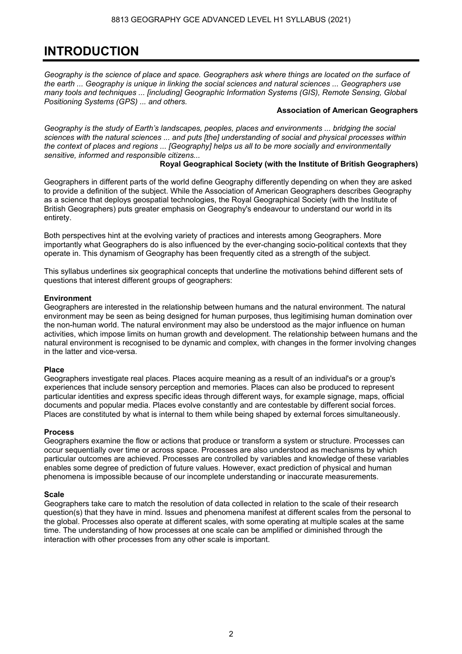# **INTRODUCTION**

*Geography is the science of place and space. Geographers ask where things are located on the surface of the earth ... Geography is unique in linking the social sciences and natural sciences ... Geographers use many tools and techniques ... [including] Geographic Information Systems (GIS), Remote Sensing, Global Positioning Systems (GPS) ... and others.* 

#### **Association of American Geographers**

*Geography is the study of Earths landscapes, peoples, places and environments ... bridging the social sciences with the natural sciences ... and puts [the] understanding of social and physical processes within the context of places and regions ... [Geography] helps us all to be more socially and environmentally sensitive, informed and responsible citizens...* 

#### **Royal Geographical Society (with the Institute of British Geographers)**

Geographers in different parts of the world define Geography differently depending on when they are asked to provide a definition of the subject. While the Association of American Geographers describes Geography as a science that deploys geospatial technologies, the Royal Geographical Society (with the Institute of British Geographers) puts greater emphasis on Geography's endeavour to understand our world in its entirety.

Both perspectives hint at the evolving variety of practices and interests among Geographers. More importantly what Geographers do is also influenced by the ever-changing socio-political contexts that they operate in. This dynamism of Geography has been frequently cited as a strength of the subject.

This syllabus underlines six geographical concepts that underline the motivations behind different sets of questions that interest different groups of geographers:

#### **Environment**

Geographers are interested in the relationship between humans and the natural environment. The natural environment may be seen as being designed for human purposes, thus legitimising human domination over the non-human world. The natural environment may also be understood as the major influence on human activities, which impose limits on human growth and development. The relationship between humans and the natural environment is recognised to be dynamic and complex, with changes in the former involving changes in the latter and vice-versa.

#### **Place**

Geographers investigate real places. Places acquire meaning as a result of an individual's or a group's experiences that include sensory perception and memories. Places can also be produced to represent particular identities and express specific ideas through different ways, for example signage, maps, official documents and popular media. Places evolve constantly and are contestable by different social forces. Places are constituted by what is internal to them while being shaped by external forces simultaneously.

#### **Process**

Geographers examine the flow or actions that produce or transform a system or structure. Processes can occur sequentially over time or across space. Processes are also understood as mechanisms by which particular outcomes are achieved. Processes are controlled by variables and knowledge of these variables enables some degree of prediction of future values. However, exact prediction of physical and human phenomena is impossible because of our incomplete understanding or inaccurate measurements.

#### **Scale**

Geographers take care to match the resolution of data collected in relation to the scale of their research question(s) that they have in mind. Issues and phenomena manifest at different scales from the personal to the global. Processes also operate at different scales, with some operating at multiple scales at the same time. The understanding of how processes at one scale can be amplified or diminished through the interaction with other processes from any other scale is important.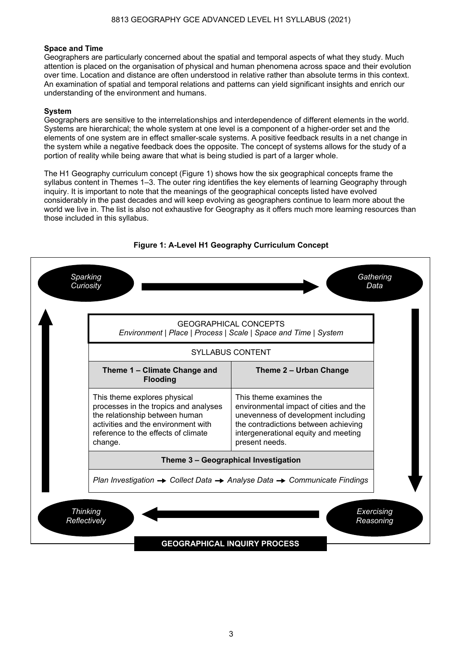#### **Space and Time**

Geographers are particularly concerned about the spatial and temporal aspects of what they study. Much attention is placed on the organisation of physical and human phenomena across space and their evolution over time. Location and distance are often understood in relative rather than absolute terms in this context. An examination of spatial and temporal relations and patterns can yield significant insights and enrich our understanding of the environment and humans.

#### **System**

Geographers are sensitive to the interrelationships and interdependence of different elements in the world. Systems are hierarchical; the whole system at one level is a component of a higher-order set and the elements of one system are in effect smaller-scale systems. A positive feedback results in a net change in the system while a negative feedback does the opposite. The concept of systems allows for the study of a portion of reality while being aware that what is being studied is part of a larger whole.

The H1 Geography curriculum concept (Figure 1) shows how the six geographical concepts frame the syllabus content in Themes 1-3. The outer ring identifies the key elements of learning Geography through inquiry. It is important to note that the meanings of the geographical concepts listed have evolved considerably in the past decades and will keep evolving as geographers continue to learn more about the world we live in. The list is also not exhaustive for Geography as it offers much more learning resources than those included in this syllabus.



**Figure 1: A-Level H1 Geography Curriculum Concept**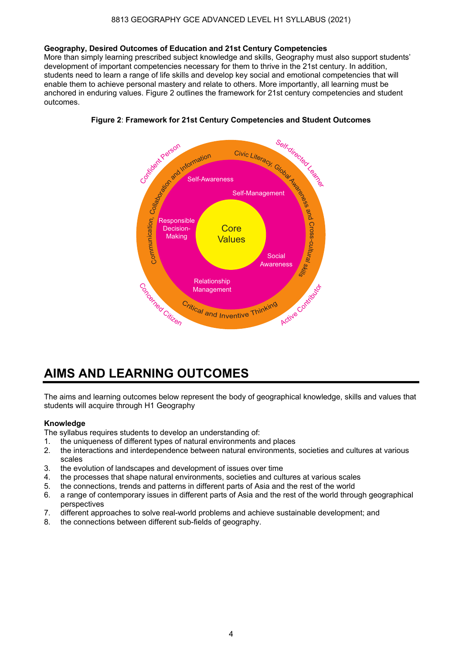#### **Geography, Desired Outcomes of Education and 21st Century Competencies**

More than simply learning prescribed subject knowledge and skills, Geography must also support students development of important competencies necessary for them to thrive in the 21st century. In addition, students need to learn a range of life skills and develop key social and emotional competencies that will enable them to achieve personal mastery and relate to others. More importantly, all learning must be anchored in enduring values. Figure 2 outlines the framework for 21st century competencies and student outcomes.





# **AIMS AND LEARNING OUTCOMES**

The aims and learning outcomes below represent the body of geographical knowledge, skills and values that students will acquire through H1 Geography

#### **Knowledge**

The syllabus requires students to develop an understanding of:

- 1. the uniqueness of different types of natural environments and places
- 2. the interactions and interdependence between natural environments, societies and cultures at various scales
- 3. the evolution of landscapes and development of issues over time
- 4. the processes that shape natural environments, societies and cultures at various scales
- 5. the connections, trends and patterns in different parts of Asia and the rest of the world
- 6. a range of contemporary issues in different parts of Asia and the rest of the world through geographical perspectives
- 7. different approaches to solve real-world problems and achieve sustainable development; and
- 8. the connections between different sub-fields of geography.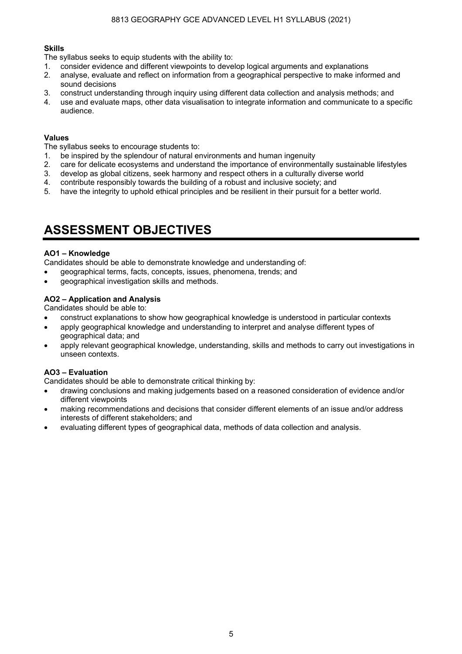#### 8813 GEOGRAPHY GCE ADVANCED LEVEL H1 SYLLABUS (2021)

#### **Skills**

The syllabus seeks to equip students with the ability to:

- 1. consider evidence and different viewpoints to develop logical arguments and explanations
- 2. analyse, evaluate and reflect on information from a geographical perspective to make informed and sound decisions
- 3. construct understanding through inquiry using different data collection and analysis methods; and
- 4. use and evaluate maps, other data visualisation to integrate information and communicate to a specific audience.

#### **Values**

The syllabus seeks to encourage students to:

- 1. be inspired by the splendour of natural environments and human ingenuity
- 2. care for delicate ecosystems and understand the importance of environmentally sustainable lifestyles
- 3. develop as global citizens, seek harmony and respect others in a culturally diverse world 4. contribute responsibly towards the building of a robust and inclusive society: and
- 4. contribute responsibly towards the building of a robust and inclusive society; and
- 5. have the integrity to uphold ethical principles and be resilient in their pursuit for a better world.

# **ASSESSMENT OBJECTIVES**

#### **AO1 Knowledge**

Candidates should be able to demonstrate knowledge and understanding of:

- geographical terms, facts, concepts, issues, phenomena, trends; and
- geographical investigation skills and methods.

#### **AO2 Application and Analysis**

Candidates should be able to:

- construct explanations to show how geographical knowledge is understood in particular contexts
- apply geographical knowledge and understanding to interpret and analyse different types of geographical data; and
- apply relevant geographical knowledge, understanding, skills and methods to carry out investigations in unseen contexts.

#### **AO3 Evaluation**

Candidates should be able to demonstrate critical thinking by:

- drawing conclusions and making judgements based on a reasoned consideration of evidence and/or different viewpoints
- making recommendations and decisions that consider different elements of an issue and/or address interests of different stakeholders; and
- evaluating different types of geographical data, methods of data collection and analysis.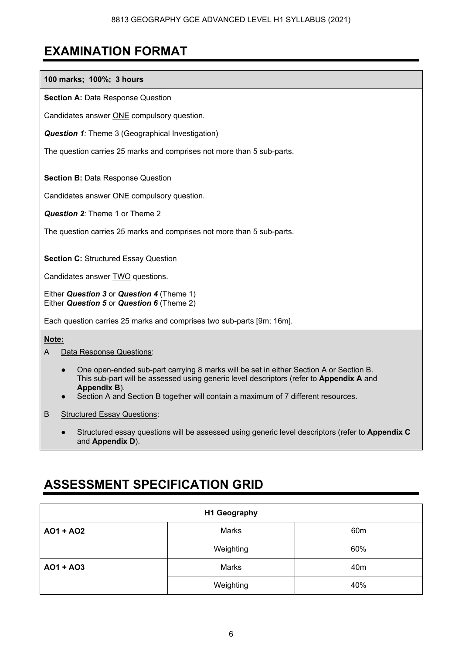# **EXAMINATION FORMAT**

- One open-ended sub-part carrying 8 marks will be set in either Section A or Section B. This sub-part will be assessed using generic level descriptors (refer to **Appendix A** and **Appendix B**).
- Section A and Section B together will contain a maximum of 7 different resources.
- B Structured Essay Questions:
	- Structured essay questions will be assessed using generic level descriptors (refer to **Appendix C** and **Appendix D**).

# **ASSESSMENT SPECIFICATION GRID**

| <b>H1 Geography</b> |           |                 |
|---------------------|-----------|-----------------|
| A01 + A02           | Marks     | 60 <sub>m</sub> |
|                     | Weighting | 60%             |
| A01 + A03           | Marks     | 40 <sub>m</sub> |
|                     | Weighting | 40%             |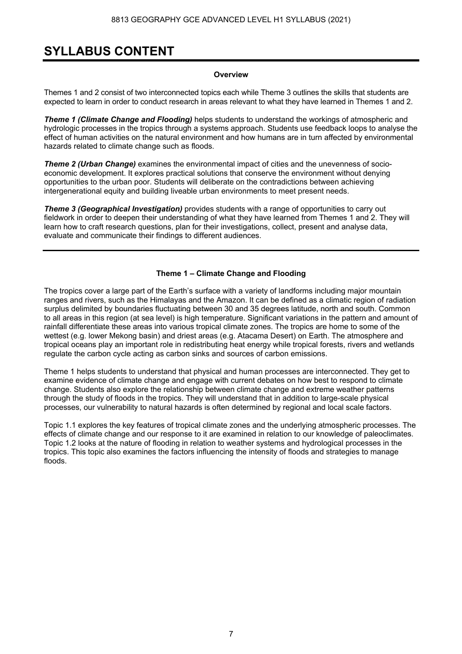# **SYLLABUS CONTENT**

#### **Overview**

Themes 1 and 2 consist of two interconnected topics each while Theme 3 outlines the skills that students are expected to learn in order to conduct research in areas relevant to what they have learned in Themes 1 and 2.

*Theme 1 (Climate Change and Flooding)* helps students to understand the workings of atmospheric and hydrologic processes in the tropics through a systems approach. Students use feedback loops to analyse the effect of human activities on the natural environment and how humans are in turn affected by environmental hazards related to climate change such as floods.

*Theme 2 (Urban Change)* examines the environmental impact of cities and the unevenness of socioeconomic development. It explores practical solutions that conserve the environment without denying opportunities to the urban poor. Students will deliberate on the contradictions between achieving intergenerational equity and building liveable urban environments to meet present needs.

*Theme 3 (Geographical Investigation)* provides students with a range of opportunities to carry out fieldwork in order to deepen their understanding of what they have learned from Themes 1 and 2. They will learn how to craft research questions, plan for their investigations, collect, present and analyse data, evaluate and communicate their findings to different audiences.

### **Theme 1 Climate Change and Flooding**

The tropics cover a large part of the Earth's surface with a variety of landforms including major mountain ranges and rivers, such as the Himalayas and the Amazon. It can be defined as a climatic region of radiation surplus delimited by boundaries fluctuating between 30 and 35 degrees latitude, north and south. Common to all areas in this region (at sea level) is high temperature. Significant variations in the pattern and amount of rainfall differentiate these areas into various tropical climate zones. The tropics are home to some of the wettest (e.g. lower Mekong basin) and driest areas (e.g. Atacama Desert) on Earth. The atmosphere and tropical oceans play an important role in redistributing heat energy while tropical forests, rivers and wetlands regulate the carbon cycle acting as carbon sinks and sources of carbon emissions.

Theme 1 helps students to understand that physical and human processes are interconnected. They get to examine evidence of climate change and engage with current debates on how best to respond to climate change. Students also explore the relationship between climate change and extreme weather patterns through the study of floods in the tropics. They will understand that in addition to large-scale physical processes, our vulnerability to natural hazards is often determined by regional and local scale factors.

Topic 1.1 explores the key features of tropical climate zones and the underlying atmospheric processes. The effects of climate change and our response to it are examined in relation to our knowledge of paleoclimates. Topic 1.2 looks at the nature of flooding in relation to weather systems and hydrological processes in the tropics. This topic also examines the factors influencing the intensity of floods and strategies to manage floods.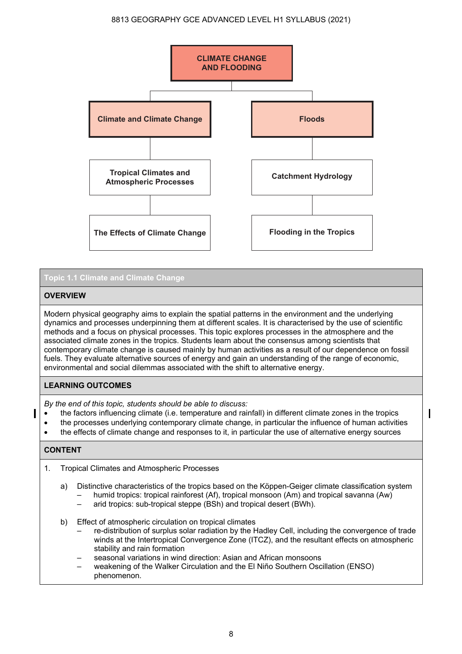### 8813 GEOGRAPHY GCE ADVANCED LEVEL H1 SYLLABUS (2021)



### **Topic 1.1 Climate and Climate Change**

#### **OVERVIEW**

Modern physical geography aims to explain the spatial patterns in the environment and the underlying dynamics and processes underpinning them at different scales. It is characterised by the use of scientific methods and a focus on physical processes. This topic explores processes in the atmosphere and the associated climate zones in the tropics. Students learn about the consensus among scientists that contemporary climate change is caused mainly by human activities as a result of our dependence on fossil fuels. They evaluate alternative sources of energy and gain an understanding of the range of economic, environmental and social dilemmas associated with the shift to alternative energy.

#### **LEARNING OUTCOMES**

*By the end of this topic, students should be able to discuss:* 

- the factors influencing climate (i.e. temperature and rainfall) in different climate zones in the tropics
- the processes underlying contemporary climate change, in particular the influence of human activities
- the effects of climate change and responses to it, in particular the use of alternative energy sources

#### **CONTENT**

- 1. Tropical Climates and Atmospheric Processes
	- a) Distinctive characteristics of the tropics based on the Köppen-Geiger climate classification system humid tropics: tropical rainforest (Af), tropical monsoon (Am) and tropical savanna (Aw)

I

- arid tropics: sub-tropical steppe (BSh) and tropical desert (BWh).
- b) Effect of atmospheric circulation on tropical climates
	- re-distribution of surplus solar radiation by the Hadley Cell, including the convergence of trade winds at the Intertropical Convergence Zone (ITCZ), and the resultant effects on atmospheric stability and rain formation
	- seasonal variations in wind direction: Asian and African monsoons
	- weakening of the Walker Circulation and the El Niño Southern Oscillation (ENSO) phenomenon.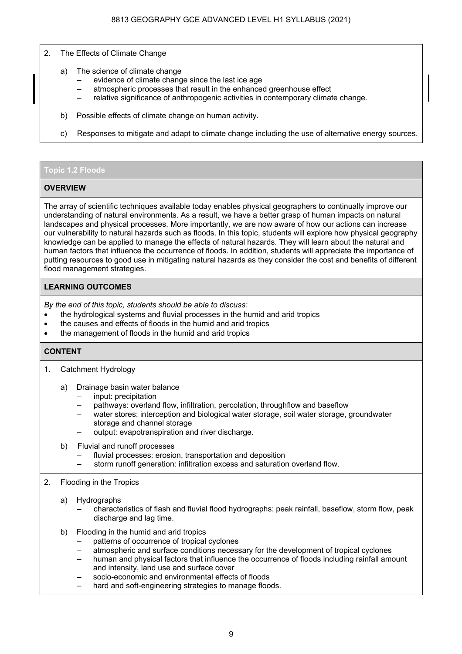- 2. The Effects of Climate Change
	- a) The science of climate change
		- evidence of climate change since the last ice age
		- atmospheric processes that result in the enhanced greenhouse effect
		- relative significance of anthropogenic activities in contemporary climate change.
	- b) Possible effects of climate change on human activity.
	- c) Responses to mitigate and adapt to climate change including the use of alternative energy sources.

## **Topic 1.2 Floods**

#### **OVERVIEW**

The array of scientific techniques available today enables physical geographers to continually improve our understanding of natural environments. As a result, we have a better grasp of human impacts on natural landscapes and physical processes. More importantly, we are now aware of how our actions can increase our vulnerability to natural hazards such as floods. In this topic, students will explore how physical geography knowledge can be applied to manage the effects of natural hazards. They will learn about the natural and human factors that influence the occurrence of floods. In addition, students will appreciate the importance of putting resources to good use in mitigating natural hazards as they consider the cost and benefits of different flood management strategies.

#### **LEARNING OUTCOMES**

*By the end of this topic, students should be able to discuss:* 

- the hydrological systems and fluvial processes in the humid and arid tropics
- the causes and effects of floods in the humid and arid tropics
- the management of floods in the humid and arid tropics

#### **CONTENT**

- 1. Catchment Hydrology
	- a) Drainage basin water balance
		- input: precipitation
		- pathways: overland flow, infiltration, percolation, throughflow and baseflow
		- water stores: interception and biological water storage, soil water storage, groundwater storage and channel storage
		- output: evapotranspiration and river discharge.
	- b) Fluvial and runoff processes
		- fluvial processes: erosion, transportation and deposition
		- storm runoff generation: infiltration excess and saturation overland flow.

#### 2. Flooding in the Tropics

- a) Hydrographs
	- characteristics of flash and fluvial flood hydrographs: peak rainfall, baseflow, storm flow, peak discharge and lag time.
- b) Flooding in the humid and arid tropics
	- patterns of occurrence of tropical cyclones
	- atmospheric and surface conditions necessary for the development of tropical cyclones
	- human and physical factors that influence the occurrence of floods including rainfall amount and intensity, land use and surface cover
	- socio-economic and environmental effects of floods
	- hard and soft-engineering strategies to manage floods.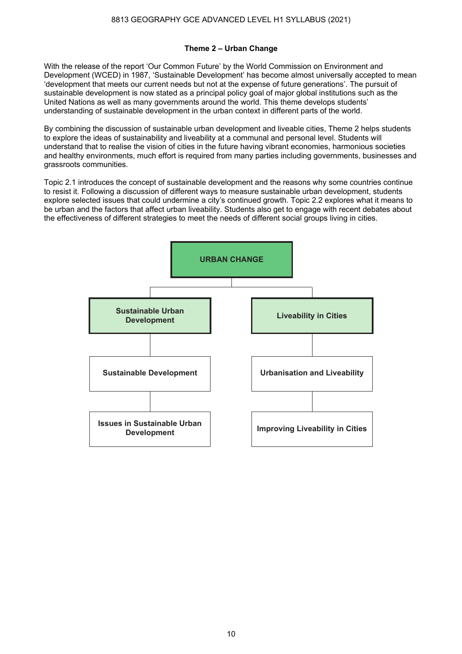#### **Theme 2 Urban Change**

With the release of the report 'Our Common Future' by the World Commission on Environment and Development (WCED) in 1987, 'Sustainable Development' has become almost universally accepted to mean development that meets our current needs but not at the expense of future generations. The pursuit of sustainable development is now stated as a principal policy goal of major global institutions such as the United Nations as well as many governments around the world. This theme develops students understanding of sustainable development in the urban context in different parts of the world.

By combining the discussion of sustainable urban development and liveable cities, Theme 2 helps students to explore the ideas of sustainability and liveability at a communal and personal level. Students will understand that to realise the vision of cities in the future having vibrant economies, harmonious societies and healthy environments, much effort is required from many parties including governments, businesses and grassroots communities.

Topic 2.1 introduces the concept of sustainable development and the reasons why some countries continue to resist it. Following a discussion of different ways to measure sustainable urban development, students explore selected issues that could undermine a city's continued growth. Topic 2.2 explores what it means to be urban and the factors that affect urban liveability. Students also get to engage with recent debates about the effectiveness of different strategies to meet the needs of different social groups living in cities.

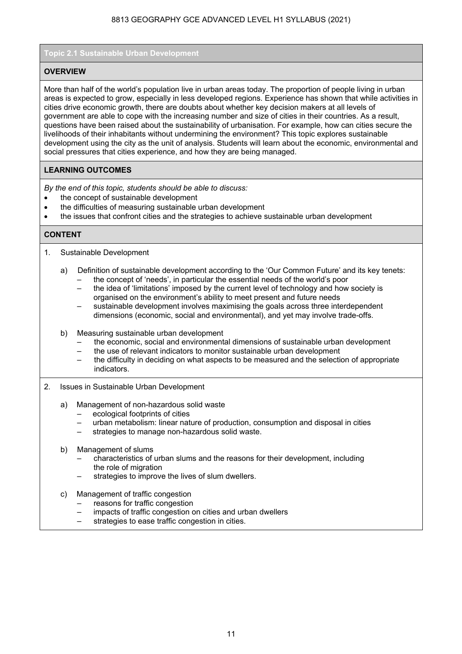#### **Topic 2.1 Sustainable Urban Development**

#### **OVERVIEW**

More than half of the world's population live in urban areas today. The proportion of people living in urban areas is expected to grow, especially in less developed regions. Experience has shown that while activities in cities drive economic growth, there are doubts about whether key decision makers at all levels of government are able to cope with the increasing number and size of cities in their countries. As a result, questions have been raised about the sustainability of urbanisation. For example, how can cities secure the livelihoods of their inhabitants without undermining the environment? This topic explores sustainable development using the city as the unit of analysis. Students will learn about the economic, environmental and social pressures that cities experience, and how they are being managed.

#### **LEARNING OUTCOMES**

*By the end of this topic, students should be able to discuss:* 

- the concept of sustainable development
- the difficulties of measuring sustainable urban development
- the issues that confront cities and the strategies to achieve sustainable urban development

#### **CONTENT**

- 1. Sustainable Development
	- a) Definition of sustainable development according to the 'Our Common Future' and its key tenets:
		- the concept of 'needs', in particular the essential needs of the world's poor the idea of 'limitations' imposed by the current level of technology and how society is organised on the environment's ability to meet present and future needs
		- sustainable development involves maximising the goals across three interdependent dimensions (economic, social and environmental), and yet may involve trade-offs.
	- b) Measuring sustainable urban development
		- the economic, social and environmental dimensions of sustainable urban development
		- the use of relevant indicators to monitor sustainable urban development
		- the difficulty in deciding on what aspects to be measured and the selection of appropriate indicators.
- 2. Issues in Sustainable Urban Development
	- a) Management of non-hazardous solid waste
		- ecological footprints of cities
		- urban metabolism: linear nature of production, consumption and disposal in cities
		- strategies to manage non-hazardous solid waste.
	- b) Management of slums
		- characteristics of urban slums and the reasons for their development, including the role of migration
		- strategies to improve the lives of slum dwellers.
	- c) Management of traffic congestion
		- reasons for traffic congestion
		- impacts of traffic congestion on cities and urban dwellers
		- strategies to ease traffic congestion in cities.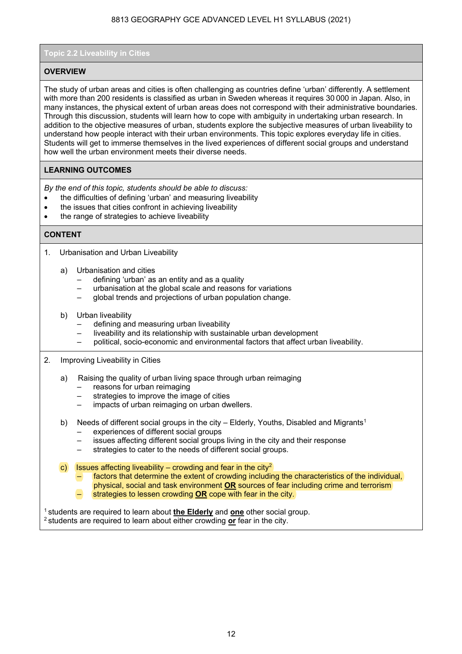#### **Topic 2.2 Liveability in Cities**

#### **OVERVIEW**

The study of urban areas and cities is often challenging as countries define 'urban' differently. A settlement with more than 200 residents is classified as urban in Sweden whereas it requires 30 000 in Japan. Also, in many instances, the physical extent of urban areas does not correspond with their administrative boundaries. Through this discussion, students will learn how to cope with ambiguity in undertaking urban research. In addition to the objective measures of urban, students explore the subjective measures of urban liveability to understand how people interact with their urban environments. This topic explores everyday life in cities. Students will get to immerse themselves in the lived experiences of different social groups and understand how well the urban environment meets their diverse needs.

#### **LEARNING OUTCOMES**

*By the end of this topic, students should be able to discuss:* 

- the difficulties of defining 'urban' and measuring liveability
- the issues that cities confront in achieving liveability
- the range of strategies to achieve liveability

#### **CONTENT**

- 1. Urbanisation and Urban Liveability
	- a) Urbanisation and cities
		- defining 'urban' as an entity and as a quality
		- urbanisation at the global scale and reasons for variations
		- global trends and projections of urban population change.
	- b) Urban liveability
		- defining and measuring urban liveability
		- liveability and its relationship with sustainable urban development
		- political, socio-economic and environmental factors that affect urban liveability.
- 2. Improving Liveability in Cities
	- a) Raising the quality of urban living space through urban reimaging
		- reasons for urban reimaging
		- strategies to improve the image of cities
		- impacts of urban reimaging on urban dwellers.
	- b) Needs of different social groups in the city  $-$  Elderly, Youths, Disabled and Migrants<sup>1</sup> experiences of different social groups
		- issues affecting different social groups living in the city and their response
		- strategies to cater to the needs of different social groups.
	- c) Issues affecting liveability crowding and fear in the city<sup>2</sup>
		- factors that determine the extent of crowding including the characteristics of the individual, physical, social and task environment **OR** sources of fear including crime and terrorism strategies to lessen crowding **OR** cope with fear in the city.

1 students are required to learn about **the Elderly** and **one** other social group. 2 students are required to learn about either crowding **or** fear in the city.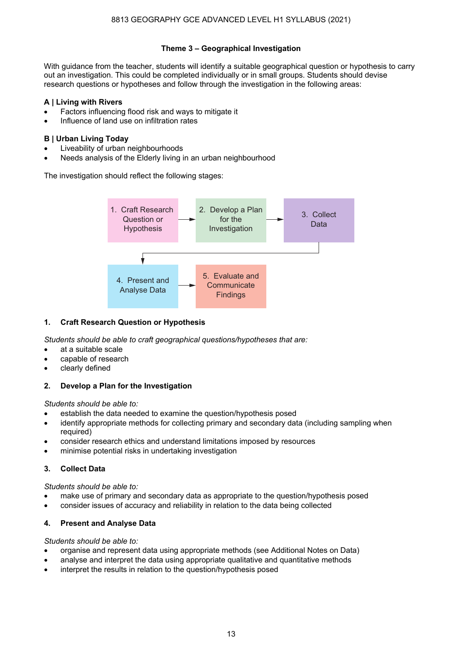#### **Theme 3 Geographical Investigation**

With guidance from the teacher, students will identify a suitable geographical question or hypothesis to carry out an investigation. This could be completed individually or in small groups. Students should devise research questions or hypotheses and follow through the investigation in the following areas:

#### **A | Living with Rivers**

- Factors influencing flood risk and ways to mitigate it
- Influence of land use on infiltration rates

#### **B | Urban Living Today**

- Liveability of urban neighbourhoods
- Needs analysis of the Elderly living in an urban neighbourhood

The investigation should reflect the following stages:



### **1. Craft Research Question or Hypothesis**

*Students should be able to craft geographical questions/hypotheses that are:* 

- at a suitable scale
- capable of research
- clearly defined

### **2. Develop a Plan for the Investigation**

*Students should be able to:* 

- establish the data needed to examine the question/hypothesis posed
- identify appropriate methods for collecting primary and secondary data (including sampling when required)
- consider research ethics and understand limitations imposed by resources
- minimise potential risks in undertaking investigation

### **3. Collect Data**

*Students should be able to:* 

- make use of primary and secondary data as appropriate to the question/hypothesis posed
- consider issues of accuracy and reliability in relation to the data being collected

### **4. Present and Analyse Data**

#### *Students should be able to:*

- organise and represent data using appropriate methods (see Additional Notes on Data)
- analyse and interpret the data using appropriate qualitative and quantitative methods
- interpret the results in relation to the question/hypothesis posed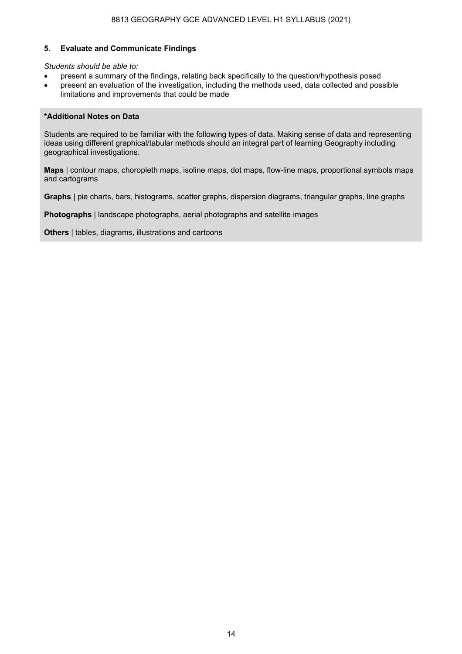#### **5. Evaluate and Communicate Findings**

#### *Students should be able to:*

- present a summary of the findings, relating back specifically to the question/hypothesis posed
- present an evaluation of the investigation, including the methods used, data collected and possible limitations and improvements that could be made

#### **\*Additional Notes on Data**

Students are required to be familiar with the following types of data. Making sense of data and representing ideas using different graphical/tabular methods should an integral part of learning Geography including geographical investigations.

**Maps** | contour maps, choropleth maps, isoline maps, dot maps, flow-line maps, proportional symbols maps and cartograms

**Graphs** | pie charts, bars, histograms, scatter graphs, dispersion diagrams, triangular graphs, line graphs

**Photographs** | landscape photographs, aerial photographs and satellite images

**Others** | tables, diagrams, illustrations and cartoons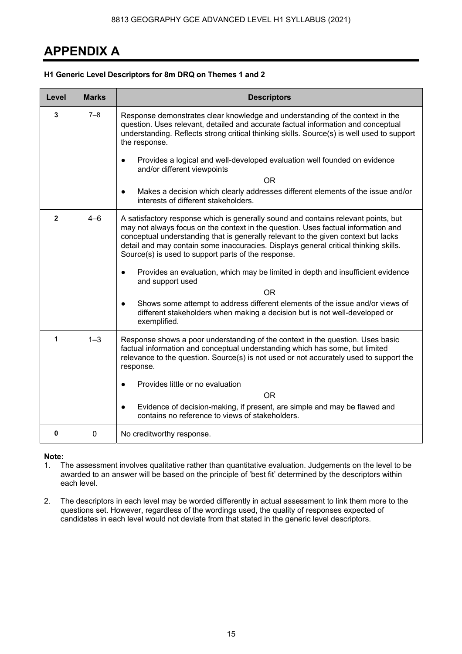# **APPENDIX A**

| Level          | <b>Marks</b> | <b>Descriptors</b>                                                                                                                                                                                                                                                                                                                                                                                                                                                                                                                                                                                                                                                                                                                 |
|----------------|--------------|------------------------------------------------------------------------------------------------------------------------------------------------------------------------------------------------------------------------------------------------------------------------------------------------------------------------------------------------------------------------------------------------------------------------------------------------------------------------------------------------------------------------------------------------------------------------------------------------------------------------------------------------------------------------------------------------------------------------------------|
| 3              | $7 - 8$      | Response demonstrates clear knowledge and understanding of the context in the<br>question. Uses relevant, detailed and accurate factual information and conceptual<br>understanding. Reflects strong critical thinking skills. Source(s) is well used to support<br>the response.<br>Provides a logical and well-developed evaluation well founded on evidence<br>$\bullet$<br>and/or different viewpoints<br><b>OR</b>                                                                                                                                                                                                                                                                                                            |
|                |              | Makes a decision which clearly addresses different elements of the issue and/or<br>$\bullet$<br>interests of different stakeholders.                                                                                                                                                                                                                                                                                                                                                                                                                                                                                                                                                                                               |
| $\overline{2}$ | $4 - 6$      | A satisfactory response which is generally sound and contains relevant points, but<br>may not always focus on the context in the question. Uses factual information and<br>conceptual understanding that is generally relevant to the given context but lacks<br>detail and may contain some inaccuracies. Displays general critical thinking skills.<br>Source(s) is used to support parts of the response.<br>Provides an evaluation, which may be limited in depth and insufficient evidence<br>$\bullet$<br>and support used<br>0R<br>Shows some attempt to address different elements of the issue and/or views of<br>$\bullet$<br>different stakeholders when making a decision but is not well-developed or<br>exemplified. |
| 1              | $1 - 3$      | Response shows a poor understanding of the context in the question. Uses basic<br>factual information and conceptual understanding which has some, but limited<br>relevance to the question. Source(s) is not used or not accurately used to support the<br>response.<br>Provides little or no evaluation<br>$\bullet$<br><b>OR</b><br>Evidence of decision-making, if present, are simple and may be flawed and<br>$\bullet$<br>contains no reference to views of stakeholders.                                                                                                                                                                                                                                                   |
| 0              | 0            | No creditworthy response.                                                                                                                                                                                                                                                                                                                                                                                                                                                                                                                                                                                                                                                                                                          |

### **H1 Generic Level Descriptors for 8m DRQ on Themes 1 and 2**

### **Note:**

- 1. The assessment involves qualitative rather than quantitative evaluation. Judgements on the level to be awarded to an answer will be based on the principle of 'best fit' determined by the descriptors within each level.
- 2. The descriptors in each level may be worded differently in actual assessment to link them more to the questions set. However, regardless of the wordings used, the quality of responses expected of candidates in each level would not deviate from that stated in the generic level descriptors.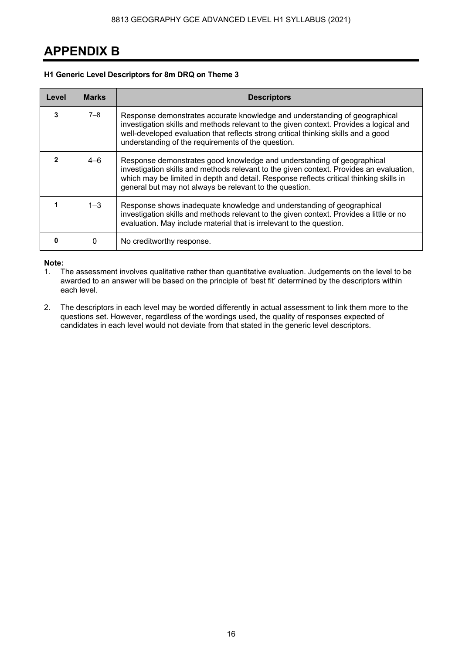# **APPENDIX B**

### **H1 Generic Level Descriptors for 8m DRQ on Theme 3**

| Level | <b>Marks</b> | <b>Descriptors</b>                                                                                                                                                                                                                                                                                                      |
|-------|--------------|-------------------------------------------------------------------------------------------------------------------------------------------------------------------------------------------------------------------------------------------------------------------------------------------------------------------------|
| 3     | $7 - 8$      | Response demonstrates accurate knowledge and understanding of geographical<br>investigation skills and methods relevant to the given context. Provides a logical and<br>well-developed evaluation that reflects strong critical thinking skills and a good<br>understanding of the requirements of the question.        |
|       | 4–6          | Response demonstrates good knowledge and understanding of geographical<br>investigation skills and methods relevant to the given context. Provides an evaluation,<br>which may be limited in depth and detail. Response reflects critical thinking skills in<br>general but may not always be relevant to the question. |
|       | $1 - 3$      | Response shows inadequate knowledge and understanding of geographical<br>investigation skills and methods relevant to the given context. Provides a little or no<br>evaluation. May include material that is irrelevant to the question.                                                                                |
| 0     | 0            | No creditworthy response.                                                                                                                                                                                                                                                                                               |

## **Note:**

- 1. The assessment involves qualitative rather than quantitative evaluation. Judgements on the level to be awarded to an answer will be based on the principle of 'best fit' determined by the descriptors within each level.
- 2. The descriptors in each level may be worded differently in actual assessment to link them more to the questions set. However, regardless of the wordings used, the quality of responses expected of candidates in each level would not deviate from that stated in the generic level descriptors.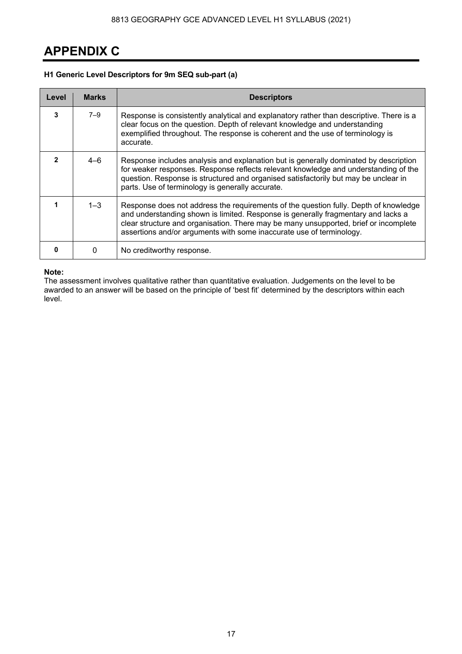# **APPENDIX C**

## **H1 Generic Level Descriptors for 9m SEQ sub-part (a)**

| Level | <b>Marks</b> | <b>Descriptors</b>                                                                                                                                                                                                                                                                                                                        |
|-------|--------------|-------------------------------------------------------------------------------------------------------------------------------------------------------------------------------------------------------------------------------------------------------------------------------------------------------------------------------------------|
| 3     | $7 - 9$      | Response is consistently analytical and explanatory rather than descriptive. There is a<br>clear focus on the question. Depth of relevant knowledge and understanding<br>exemplified throughout. The response is coherent and the use of terminology is<br>accurate.                                                                      |
| 2     | $4 - 6$      | Response includes analysis and explanation but is generally dominated by description<br>for weaker responses. Response reflects relevant knowledge and understanding of the<br>question. Response is structured and organised satisfactorily but may be unclear in<br>parts. Use of terminology is generally accurate.                    |
|       | $1 - 3$      | Response does not address the requirements of the question fully. Depth of knowledge<br>and understanding shown is limited. Response is generally fragmentary and lacks a<br>clear structure and organisation. There may be many unsupported, brief or incomplete<br>assertions and/or arguments with some inaccurate use of terminology. |
| n     | $\Omega$     | No creditworthy response.                                                                                                                                                                                                                                                                                                                 |

#### **Note:**

The assessment involves qualitative rather than quantitative evaluation. Judgements on the level to be awarded to an answer will be based on the principle of 'best fit' determined by the descriptors within each level.